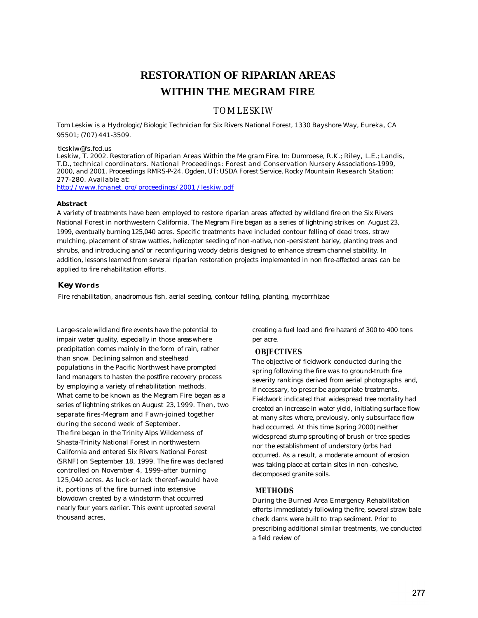# **RESTORATION OF RIPARIAN AREAS WITHIN THE MEGRAM FIRE**

# TOM LESKIW

*Tom Leskiw is a Hydrologic/Biologic Technician for Six Rivers National Forest, 1330 Bayshore Way, Eureka, CA 95501; (707) 441-3509.*

#### *tleskiw@fs.fed.us*

*Leskiw, T. 2002. Restoration of Riparian Areas Within the Me gram Fire. In: Dumroese, R.K.; Riley, L.E.; Landis, T.D., technical coordinators. National Proceedings: Forest and Conservation Nursery Associations-1999, 2000, and 2001. Proceedings RMRS-P-24. Ogden, UT: USDA Forest Service, Rocky Mountain Research Station: 277-280. Available at:*

*http://www.fcnanet. org/proceedings/2001 /leskiw.pdf*

#### **Abstract**

A variety of treatments have been employed to restore riparian areas affected by wildland fire on the Six Rivers National Forest in northwestern California. The Megram Fire began as a series of lightning strikes on August 23, 1999, eventually burning 125,040 acres. Specific treatments have included contour felling of dead trees, straw mulching, placement of straw wattles, helicopter seeding of non-native, non-persistent barley, planting trees and shrubs, and introducing and/or reconfiguring woody debris designed to enhance stream channel stability. In addition, lessons learned from several riparian restoration projects implemented in non fire-affected areas can be applied to fire rehabilitation efforts.

#### **Key Words**

Fire rehabilitation, anadromous fish, aerial seeding, contour felling, planting, mycorrhizae

Large-scale wildland fire events have the potential to impair water quality, especially in those areas where precipitation comes mainly in the form of rain, rather than snow. Declining salmon and steelhead populations in the Pacific Northwest have prompted land managers to hasten the postfire recovery process by employing a variety of rehabilitation methods. What came to be known as the Megram Fire began as a series of lightning strikes on August 23, 1999. Then, two separate fires-Megram and Fawn-joined together during the second week of September. The fire began in the Trinity Alps Wilderness of Shasta-Trinity National Forest in northwestern California and entered Six Rivers National Forest (SRNF) on September 18, 1999. The fire was declared controlled on November 4, 1999-after burning 125,040 acres. As luck-or lack thereof-would have it, portions of the fire burned into extensive blowdown created by a windstorm that occurred nearly four years earlier. This event uprooted several thousand acres,

creating a fuel load and fire hazard of 300 to 400 tons per acre.

#### **OBJECTIVES**

The objective of fieldwork conducted during the spring following the fire was to ground-truth fire severity rankings derived from aerial photographs and, if necessary, to prescribe appropriate treatments. Fieldwork indicated that widespread tree mortality had created an increase in water yield, initiating surface flow at many sites where, previously, only subsurface flow had occurred. At this time (spring 2000) neither widespread stump sprouting of brush or tree species nor the establishment of understory (orbs had occurred. As a result, a moderate amount of erosion was taking place at certain sites in non-cohesive, decomposed granite soils.

#### **METHODS**

During the Burned Area Emergency Rehabilitation efforts immediately following the fire, several straw bale check dams were built to trap sediment. Prior to prescribing additional similar treatments, we conducted a field review of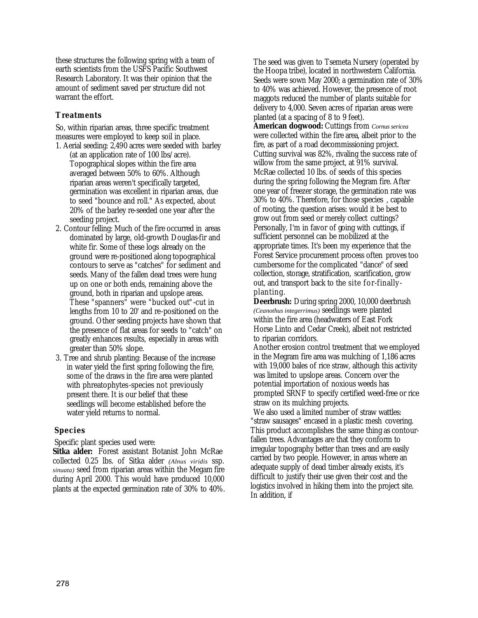these structures the following spring with a team of earth scientists from the USFS Pacific Southwest Research Laboratory. It was their opinion that the amount of sediment saved per structure did not warrant the effort.

# **Treatments**

So, within riparian areas, three specific treatment measures were employed to keep soil in place. 1. Aerial seeding: 2,490 acres were seeded with barley

- (at an application rate of 100 lbs/acre). Topographical slopes within the fire area averaged between 50% to 60%. Although riparian areas weren't specifically targeted, germination was excellent in riparian areas, due to seed "bounce and roll." As expected, about 20% of the barley re-seeded one year after the seeding project.
- 2. Contour felling: Much of the fire occurred in areas dominated by large, old-growth Douglas-fir and white fir. Some of these logs already on the ground were re-positioned along topographical contours to serve as "catches" for sediment and seeds. Many of the fallen dead trees were hung up on one or both ends, remaining above the ground, both in riparian and upslope areas. These "spanners" were "bucked out"-cut in lengths from 10 to 20' and re-positioned on the ground. Other seeding projects have shown that the presence of flat areas for seeds to "catch" on greatly enhances results, especially in areas with greater than 50% slope.
- 3. Tree and shrub planting: Because of the increase in water yield the first spring following the fire, some of the draws in the fire area were planted with phreatophytes-species not previously present there. It is our belief that these seedlings will become established before the water yield returns to normal.

# **Species**

Specific plant species used were:

**Sitka alder:** Forest assistant Botanist John McRae collected 0.25 lbs. of Sitka alder *(Alnus viridis* ssp. *sinuata)* seed from riparian areas within the Megam fire during April 2000. This would have produced 10,000 plants at the expected germination rate of 30% to 40%. The seed was given to Tsemeta Nursery (operated by the Hoopa tribe), located in northwestern California. Seeds were sown May 2000; a germination rate of 30% to 40% was achieved. However, the presence of root maggots reduced the number of plants suitable for delivery to 4,000. Seven acres of riparian areas were planted (at a spacing of 8 to 9 feet).

**American dogwood:** Cuttings from *Cornus sericea*  were collected within the fire area, albeit prior to the fire, as part of a road decommissioning project. Cutting survival was 82%, rivaling the success rate of willow from the same project, at 91% survival. McRae collected 10 lbs. of seeds of this species during the spring following the Megram fire. After one year of freezer storage, the germination rate was 30% to 40%. Therefore, for those species , capable of rooting, the question arises: would it be best to grow out from seed or merely collect cuttings? Personally, I'm in favor of going with cuttings, if sufficient personnel can be mobilized at the appropriate times. It's been my experience that the Forest Service procurement process often proves too cumbersome for the complicated "dance" of seed collection, storage, stratification, scarification, grow out, and transport back to the site for-finally planting.

**Deerbrush:** During spring 2000, 10,000 deerbrush *(Ceanothus integerrimus)* seedlings were planted within the fire area (headwaters of East Fork Horse Linto and Cedar Creek), albeit not restricted to riparian corridors.

Another erosion control treatment that we employed in the Megram fire area was mulching of 1,186 acres with 19,000 bales of rice straw, although this activity was limited to upslope areas. Concern over the potential importation of noxious weeds has prompted SRNF to specify certified weed-free or rice straw on its mulching projects.

We also used a limited number of straw wattles: "straw sausages" encased in a plastic mesh covering. This product accomplishes the same thing as contourfallen trees. Advantages are that they conform to irregular topography better than trees and are easily carried by two people. However, in areas where an adequate supply of dead timber already exists, it's difficult to justify their use given their cost and the logistics involved in hiking them into the project site. In addition, if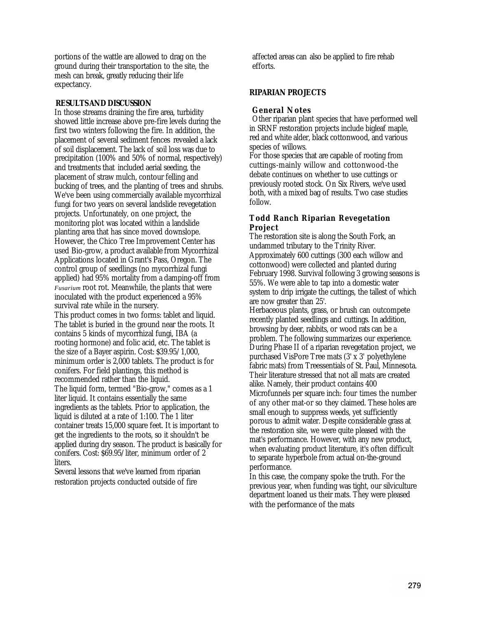portions of the wattle are allowed to drag on the ground during their transportation to the site, the mesh can break, greatly reducing their life expectancy.

### **RESULTS AND DISCUSSION**

In those streams draining the fire area, turbidity showed little increase above pre-fire levels during the first two winters following the fire. In addition, the placement of several sediment fences revealed a lack of soil displacement. The lack of soil loss was due to precipitation (100% and 50% of normal, respectively) and treatments that included aerial seeding, the placement of straw mulch, contour felling and bucking of trees, and the planting of trees and shrubs. We've been using commercially available mycorrhizal fungi for two years on several landslide revegetation projects. Unfortunately, on one project, the monitoring plot was located within a landslide planting area that has since moved downslope. However, the Chico Tree Improvement Center has used Bio-grow, a product available from Mycorrhizal Applications located in Grant's Pass, Oregon. The control group of seedlings (no mycorrhizal fungi applied) had 95% mortality from a damping-off from *Fusarium* root rot. Meanwhile, the plants that were inoculated with the product experienced a 95% survival rate while in the nursery.

This product comes in two forms: tablet and liquid. The tablet is buried in the ground near the roots. It contains 5 kinds of mycorrhizal fungi, IBA (a rooting hormone) and folic acid, etc. The tablet is the size of a Bayer aspirin. Cost: \$39.95/1,000, minimum order is 2,000 tablets. The product is for conifers. For field plantings, this method is recommended rather than the liquid. The liquid form, termed "Bio-grow," comes as a 1 liter liquid. It contains essentially the same ingredients as the tablets. Prior to application, the liquid is diluted at a rate of 1:100. The 1 liter container treats 15,000 square feet. It is important to get the ingredients to the roots, so it shouldn't be applied during dry season. The product is basically for conifers. Cost: \$69.95/liter, minimum order of 2 liters.

Several lessons that we've learned from riparian restoration projects conducted outside of fire

affected areas can also be applied to fire rehab efforts.

# **RIPARIAN PROJECTS**

### **General Notes**

Other riparian plant species that have performed well in SRNF restoration projects include bigleaf maple, red and white alder, black cottonwood, and various species of willows.

For those species that are capable of rooting from cuttings-mainly willow and cottonwood-the debate continues on whether to use cuttings or previously rooted stock. On Six Rivers, we've used both, with a mixed bag of results. Two case studies follow.

# **Todd Ranch Riparian Revegetation Project**

The restoration site is along the South Fork, an undammed tributary to the Trinity River. Approximately 600 cuttings (300 each willow and cottonwood) were collected and planted during February 1998. Survival following 3 growing seasons is 55%. We were able to tap into a domestic water system to drip irrigate the cuttings, the tallest of which are now greater than 25'.

Herbaceous plants, grass, or brush can outcompete recently planted seedlings and cuttings. In addition, browsing by deer, rabbits, or wood rats can be a problem. The following summarizes our experience. During Phase II of a riparian revegetation project, we purchased VisPore Tree mats (3' x 3' polyethylene fabric mats) from Treessentials of St. Paul, Minnesota. Their literature stressed that not all mats are created alike. Namely, their product contains 400 Microfunnels per square inch: four times the number of any other mat-or so they claimed. These holes are small enough to suppress weeds, yet sufficiently porous to admit water. Despite considerable grass at the restoration site, we were quite pleased with the mat's performance. However, with any new product, when evaluating product literature, it's often difficult to separate hyperbole from actual on-the-ground performance.

In this case, the company spoke the truth. For the previous year, when funding was tight, our silviculture department loaned us their mats. They were pleased with the performance of the mats